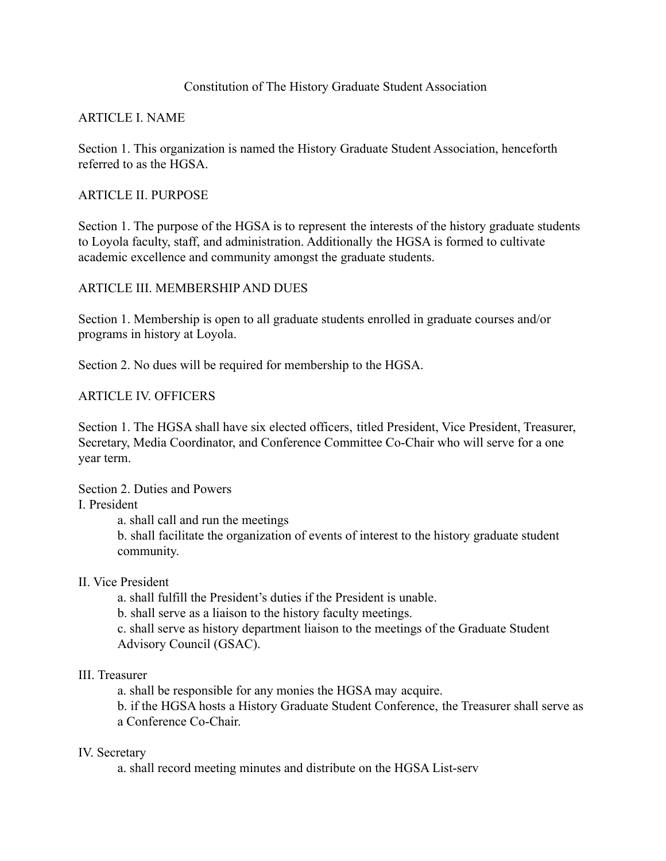## Constitution of The History Graduate Student Association

## ARTICLE I. NAME

Section 1. This organization is named the History Graduate Student Association, henceforth referred to as the HGSA.

### ARTICLE II. PURPOSE

Section 1. The purpose of the HGSA is to represent the interests of the history graduate students to Loyola faculty, staff, and administration. Additionally the HGSA is formed to cultivate academic excellence and community amongst the graduate students.

## ARTICLE III. MEMBERSHIP AND DUES

Section 1. Membership is open to all graduate students enrolled in graduate courses and/or programs in history at Loyola.

Section 2. No dues will be required for membership to the HGSA.

### ARTICLE IV. OFFICERS

Section 1. The HGSA shall have six elected officers, titled President, Vice President, Treasurer, Secretary, Media Coordinator, and Conference Committee Co-Chair who will serve for a one year term.

Section 2. Duties and Powers

I. President

a. shall call and run the meetings

b. shall facilitate the organization of events of interest to the history graduate student community.

#### II. Vice President

a. shall fulfill the President's duties if the President is unable.

b. shall serve as a liaison to the history faculty meetings.

c. shall serve as history department liaison to the meetings of the Graduate Student Advisory Council (GSAC).

#### III. Treasurer

a. shall be responsible for any monies the HGSA may acquire.

b. if the HGSA hosts a History Graduate Student Conference, the Treasurer shall serve as a Conference Co-Chair.

#### IV. Secretary

a. shall record meeting minutes and distribute on the HGSA List-serv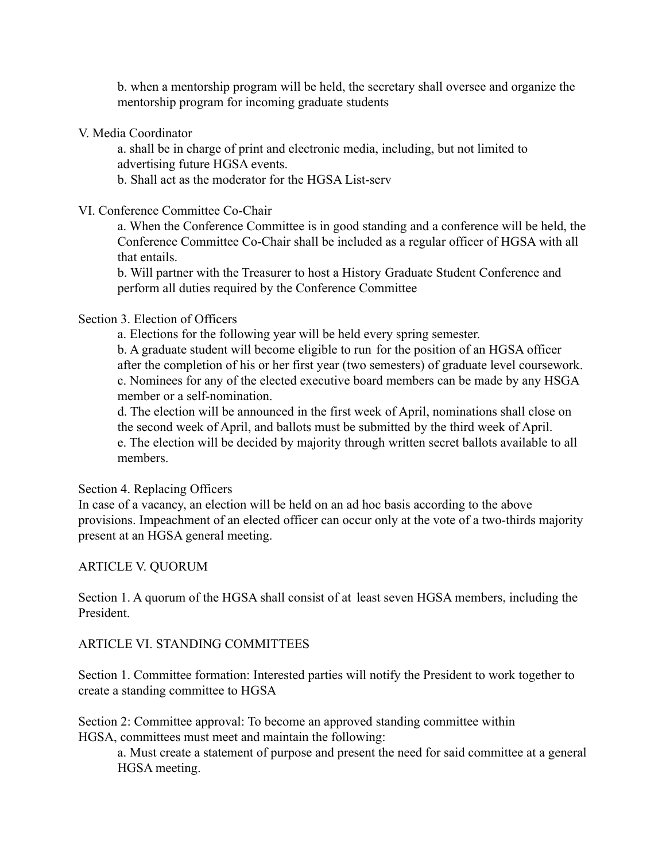b. when a mentorship program will be held, the secretary shall oversee and organize the mentorship program for incoming graduate students

### V. Media Coordinator

a. shall be in charge of print and electronic media, including, but not limited to advertising future HGSA events.

b. Shall act as the moderator for the HGSA List-serv

### VI. Conference Committee Co-Chair

a. When the Conference Committee is in good standing and a conference will be held, the Conference Committee Co-Chair shall be included as a regular officer of HGSA with all that entails.

b. Will partner with the Treasurer to host a History Graduate Student Conference and perform all duties required by the Conference Committee

### Section 3. Election of Officers

a. Elections for the following year will be held every spring semester.

b. A graduate student will become eligible to run for the position of an HGSA officer after the completion of his or her first year (two semesters) of graduate level coursework. c. Nominees for any of the elected executive board members can be made by any HSGA member or a self-nomination.

d. The election will be announced in the first week of April, nominations shall close on the second week of April, and ballots must be submitted by the third week of April. e. The election will be decided by majority through written secret ballots available to all members.

#### Section 4. Replacing Officers

In case of a vacancy, an election will be held on an ad hoc basis according to the above provisions. Impeachment of an elected officer can occur only at the vote of a two-thirds majority present at an HGSA general meeting.

# ARTICLE V. QUORUM

Section 1. A quorum of the HGSA shall consist of at least seven HGSA members, including the President.

# ARTICLE VI. STANDING COMMITTEES

Section 1. Committee formation: Interested parties will notify the President to work together to create a standing committee to HGSA

Section 2: Committee approval: To become an approved standing committee within HGSA, committees must meet and maintain the following:

a. Must create a statement of purpose and present the need for said committee at a general HGSA meeting.